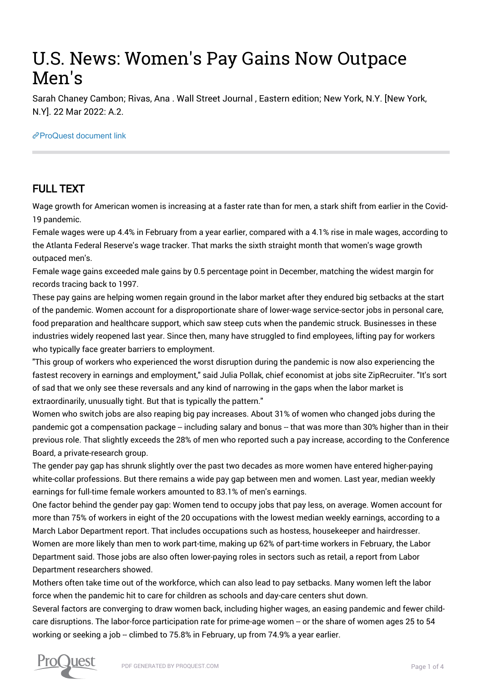# U.S. News: Women's Pay Gains Now Outpace Men's

Sarah Chaney Cambon; Rivas, Ana . Wall Street Journal , Eastern edition; New York, N.Y. [New York, N.Y]. 22 Mar 2022: A.2.

### [ProQuest document link](https://www.proquest.com/newspapers/u-s-news-womens-pay-gains-now-outpace-mens/docview/2641311910/se-2?accountid=44910)

## FULL TEXT

Wage growth for American women is increasing at a faster rate than for men, a stark shift from earlier in the Covid-19 pandemic.

Female wages were up 4.4% in February from a year earlier, compared with a 4.1% rise in male wages, according to the Atlanta Federal Reserve's wage tracker. That marks the sixth straight month that women's wage growth outpaced men's.

Female wage gains exceeded male gains by 0.5 percentage point in December, matching the widest margin for records tracing back to 1997.

These pay gains are helping women regain ground in the labor market after they endured big setbacks at the start of the pandemic. Women account for a disproportionate share of lower-wage service-sector jobs in personal care, food preparation and healthcare support, which saw steep cuts when the pandemic struck. Businesses in these industries widely reopened last year. Since then, many have struggled to find employees, lifting pay for workers who typically face greater barriers to employment.

"This group of workers who experienced the worst disruption during the pandemic is now also experiencing the fastest recovery in earnings and employment," said Julia Pollak, chief economist at jobs site ZipRecruiter. "It's sort of sad that we only see these reversals and any kind of narrowing in the gaps when the labor market is extraordinarily, unusually tight. But that is typically the pattern."

Women who switch jobs are also reaping big pay increases. About 31% of women who changed jobs during the pandemic got a compensation package -- including salary and bonus -- that was more than 30% higher than in their previous role. That slightly exceeds the 28% of men who reported such a pay increase, according to the Conference Board, a private-research group.

The gender pay gap has shrunk slightly over the past two decades as more women have entered higher-paying white-collar professions. But there remains a wide pay gap between men and women. Last year, median weekly earnings for full-time female workers amounted to 83.1% of men's earnings.

One factor behind the gender pay gap: Women tend to occupy jobs that pay less, on average. Women account for more than 75% of workers in eight of the 20 occupations with the lowest median weekly earnings, according to a March Labor Department report. That includes occupations such as hostess, housekeeper and hairdresser. Women are more likely than men to work part-time, making up 62% of part-time workers in February, the Labor Department said. Those jobs are also often lower-paying roles in sectors such as retail, a report from Labor Department researchers showed.

Mothers often take time out of the workforce, which can also lead to pay setbacks. Many women left the labor force when the pandemic hit to care for children as schools and day-care centers shut down.

Several factors are converging to draw women back, including higher wages, an easing pandemic and fewer childcare disruptions. The labor-force participation rate for prime-age women -- or the share of women ages 25 to 54 working or seeking a job -- climbed to 75.8% in February, up from 74.9% a year earlier.

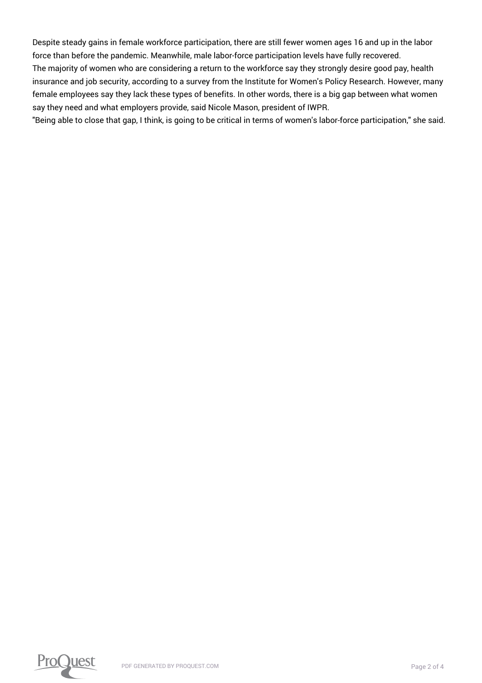Despite steady gains in female workforce participation, there are still fewer women ages 16 and up in the labor force than before the pandemic. Meanwhile, male labor-force participation levels have fully recovered. The majority of women who are considering a return to the workforce say they strongly desire good pay, health insurance and job security, according to a survey from the Institute for Women's Policy Research. However, many female employees say they lack these types of benefits. In other words, there is a big gap between what women say they need and what employers provide, said Nicole Mason, president of IWPR.

"Being able to close that gap, I think, is going to be critical in terms of women's labor-force participation," she said.

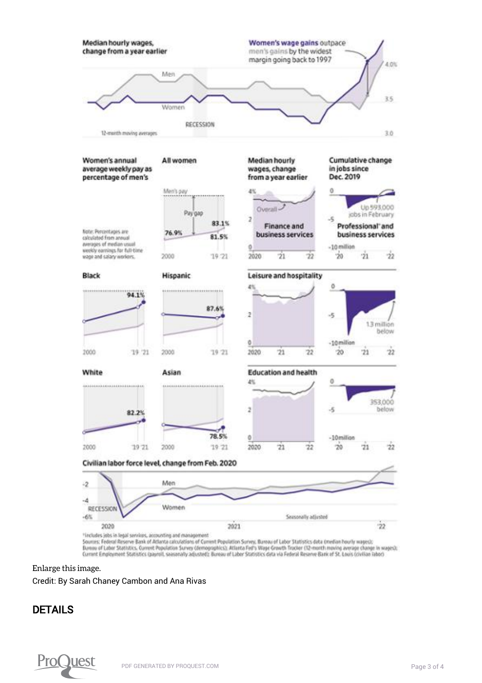

Bureau of Labor Statistics. Current Population Survey (demographics); Atlanta Fed's Wage Crowth Tracker (12-month moving average change in wages); Current Employment Statistics (payrol), seasonally adjusted); Bureau of Labor Statistics data via Federal Reserve Bank of St. Louis (civilian labor)

#### [Enlarge this image.](https://www.proquest.comhttps://www.proquest.com/textgraphic/2641311910/fulltextwithgraphics/56FDF05C61504192PQ/1/1?accountid=44910)

Credit: By Sarah Chaney Cambon and Ana Rivas

## DETAILS